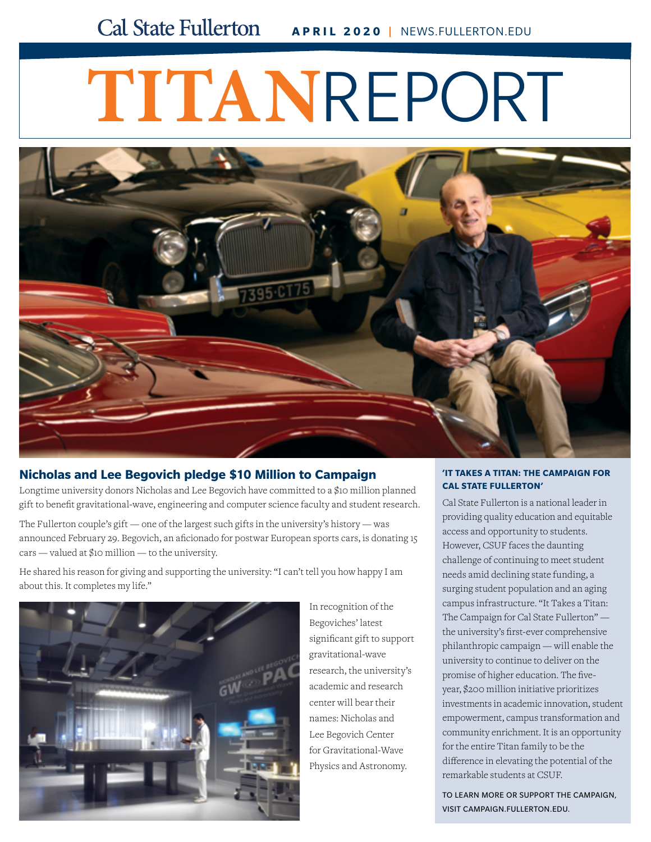# **TITAN**REPORT



#### **[Nicholas and Lee Begovich pledge \\$10 Million to Campaign](http://news.fullerton.edu/2020wi/campaign-gift-begovich.aspx?origin=email)**

Longtime university donors Nicholas and Lee Begovich have committed to a \$10 million planned gift to benefit gravitational-wave, engineering and computer science faculty and student research.

The Fullerton couple's gift — one of the largest such gifts in the university's history — was announced February 29. Begovich, an aficionado for postwar European sports cars, is donating 15 cars — valued at \$10 million — to the university.

He shared his reason for giving and supporting the university: "I can't tell you how happy I am about this. It completes my life."



In recognition of the Begoviches' latest significant gift to support gravitational-wave research, the university's academic and research center will bear their names: Nicholas and Lee Begovich Center for Gravitational-Wave Physics and Astronomy.

#### **'IT TAKES A TITAN: THE CAMPAIGN FOR CAL STATE FULLERTON'**

Cal State Fullerton is a national leader in providing quality education and equitable access and opportunity to students. However, CSUF faces the daunting challenge of continuing to meet student needs amid declining state funding, a surging student population and an aging campus infrastructure. "It Takes a Titan: The Campaign for Cal State Fullerton" the university's first-ever comprehensive philanthropic campaign — will enable the university to continue to deliver on the promise of higher education. The fiveyear, \$200 million initiative prioritizes [investments in academic innovation, student](https://campaign.fullerton.edu/)  empowerment, campus transformation and community enrichment. It is an opportunity for the entire Titan family to be the difference in elevating the potential of the remarkable students at CSUF.

TO LEARN MORE OR SUPPORT THE CAMPAIGN, VISIT [CAMPAIGN.FULLERTON.EDU](http://campaign.fullerton.edu).